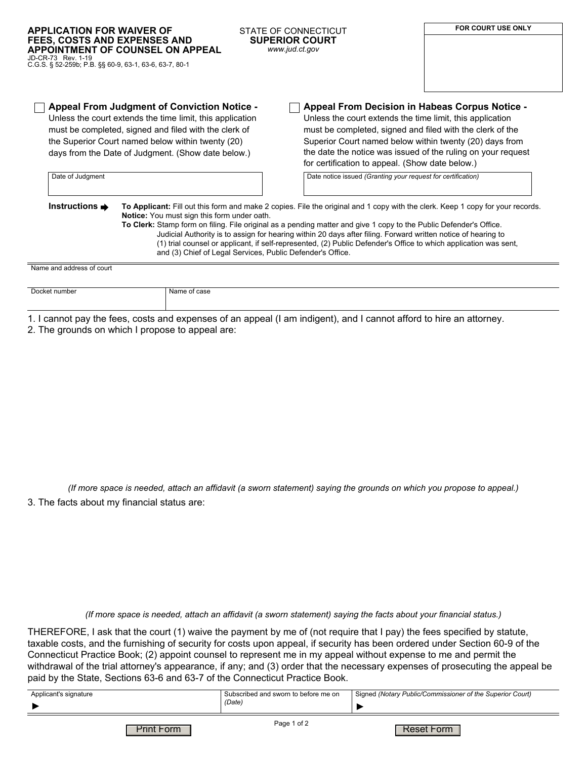| <b>APPLICATION FOR WAIVER OF</b><br><b>FEES, COSTS AND EXPENSES AND</b><br>JD-CR-73 Rev. 1-19<br>C.G.S. § 52-259b; P.B. §§ 60-9, 63-1, 63-6, 63-7, 80-1 | APPOINTMENT OF COUNSEL ON APPEAL                                                                                                                                                                                                                                                    | STATE OF CONNECTICUT<br><b>SUPERIOR COURT</b><br>www.jud.ct.gov                                                                                                                                                                                                                                                                                                                                                                                                                                                                                         | <b>FOR COURT USE ONLY</b> |
|---------------------------------------------------------------------------------------------------------------------------------------------------------|-------------------------------------------------------------------------------------------------------------------------------------------------------------------------------------------------------------------------------------------------------------------------------------|---------------------------------------------------------------------------------------------------------------------------------------------------------------------------------------------------------------------------------------------------------------------------------------------------------------------------------------------------------------------------------------------------------------------------------------------------------------------------------------------------------------------------------------------------------|---------------------------|
| Date of Judgment                                                                                                                                        | <b>Appeal From Judgment of Conviction Notice -</b><br>Unless the court extends the time limit, this application<br>must be completed, signed and filed with the clerk of<br>the Superior Court named below within twenty (20)<br>days from the Date of Judgment. (Show date below.) | Appeal From Decision in Habeas Corpus Notice -<br>Unless the court extends the time limit, this application<br>must be completed, signed and filed with the clerk of the<br>Superior Court named below within twenty (20) days from<br>the date the notice was issued of the ruling on your request<br>for certification to appeal. (Show date below.)<br>Date notice issued (Granting your request for certification)                                                                                                                                  |                           |
| Instructions $\Rightarrow$                                                                                                                              | Notice: You must sign this form under oath.                                                                                                                                                                                                                                         | To Applicant: Fill out this form and make 2 copies. File the original and 1 copy with the clerk. Keep 1 copy for your records.<br>To Clerk: Stamp form on filing. File original as a pending matter and give 1 copy to the Public Defender's Office.<br>Judicial Authority is to assign for hearing within 20 days after filing. Forward written notice of hearing to<br>(1) trial counsel or applicant, if self-represented, (2) Public Defender's Office to which application was sent,<br>and (3) Chief of Legal Services, Public Defender's Office. |                           |
| Name and address of court                                                                                                                               |                                                                                                                                                                                                                                                                                     |                                                                                                                                                                                                                                                                                                                                                                                                                                                                                                                                                         |                           |
| Docket number                                                                                                                                           | Name of case                                                                                                                                                                                                                                                                        |                                                                                                                                                                                                                                                                                                                                                                                                                                                                                                                                                         |                           |

1. I cannot pay the fees, costs and expenses of an appeal (I am indigent), and I cannot afford to hire an attorney.

2. The grounds on which I propose to appeal are:

*(If more space is needed, attach an affidavit (a sworn statement) saying the grounds on which you propose to appeal.)*

3. The facts about my financial status are:

*(If more space is needed, attach an affidavit (a sworn statement) saying the facts about your financial status.)*

THEREFORE, I ask that the court (1) waive the payment by me of (not require that I pay) the fees specified by statute, taxable costs, and the furnishing of security for costs upon appeal, if security has been ordered under Section 60-9 of the Connecticut Practice Book; (2) appoint counsel to represent me in my appeal without expense to me and permit the withdrawal of the trial attorney's appearance, if any; and (3) order that the necessary expenses of prosecuting the appeal be paid by the State, Sections 63-6 and 63-7 of the Connecticut Practice Book.

| Applicant's signature | Subscribed and sworn to before me on | Signed (Notary Public/Commissioner of the Superior Court) |
|-----------------------|--------------------------------------|-----------------------------------------------------------|
|                       | (Date)                               |                                                           |
| Print Form            | Page 1 of 2                          | Reset Form                                                |